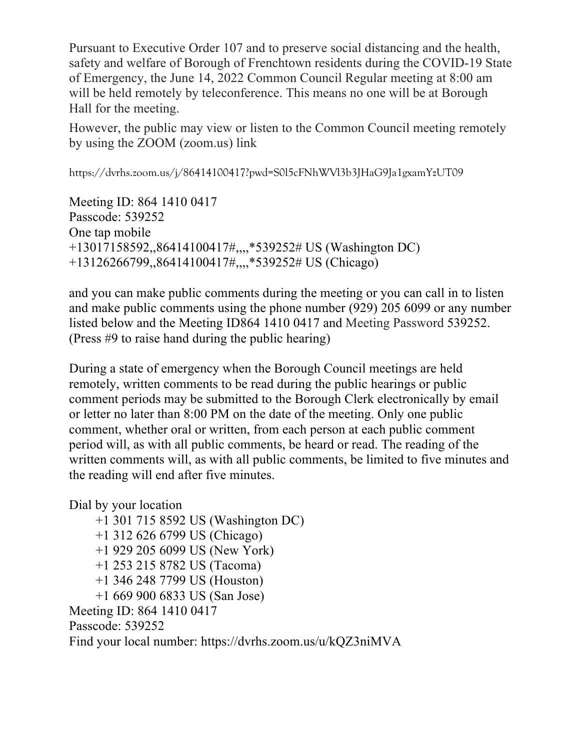Pursuant to Executive Order 107 and to preserve social distancing and the health, safety and welfare of Borough of Frenchtown residents during the COVID-19 State of Emergency, the June 14, 2022 Common Council Regular meeting at 8:00 am will be held remotely by teleconference. This means no one will be at Borough Hall for the meeting.

However, the public may view or listen to the Common Council meeting remotely by using the ZOOM (zoom.us) link

https://dvrhs.zoom.us/j/86414100417?pwd=S0l5cFNhWVl3b3JHaG9Ja1gxamYzUT09

Meeting ID: 864 1410 0417 Passcode: 539252 One tap mobile +13017158592,,86414100417#,,,,\*539252# US (Washington DC) +13126266799,,86414100417#,,,,\*539252# US (Chicago)

and you can make public comments during the meeting or you can call in to listen and make public comments using the phone number (929) 205 6099 or any number listed below and the Meeting ID864 1410 0417 and Meeting Password 539252. (Press #9 to raise hand during the public hearing)

During a state of emergency when the Borough Council meetings are held remotely, written comments to be read during the public hearings or public comment periods may be submitted to the Borough Clerk electronically by email or letter no later than 8:00 PM on the date of the meeting. Only one public comment, whether oral or written, from each person at each public comment period will, as with all public comments, be heard or read. The reading of the written comments will, as with all public comments, be limited to five minutes and the reading will end after five minutes.

Dial by your location

- +1 301 715 8592 US (Washington DC)
- +1 312 626 6799 US (Chicago)
- +1 929 205 6099 US (New York)
- +1 253 215 8782 US (Tacoma)
- +1 346 248 7799 US (Houston)
- +1 669 900 6833 US (San Jose)

Meeting ID: 864 1410 0417

Passcode: 539252

Find your local number: https://dvrhs.zoom.us/u/kQZ3niMVA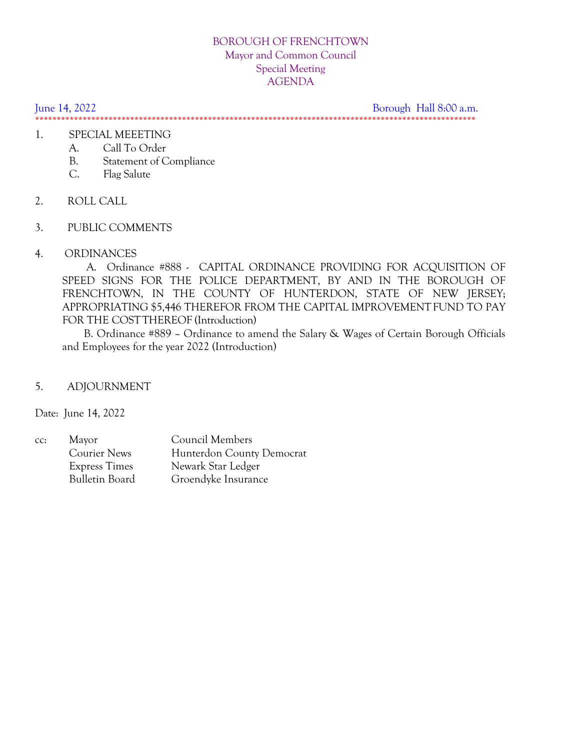## BOROUGH OF FRENCHTOWN Mayor and Common Council Special Meeting AGENDA

June 14, 2022 Borough Hall 8:00 a.m.

\*\*\*\*\*\*\*\*\*\*\*\*\*\*\*\*\*\*\*\*\*\*\*\*\*\*\*\*\*\*\*\*\*\*\*\*\*\*\*\*\*\*\*\*\*\*\*\*\*\*\*\*\*\*\*\*\*\*\*\*\*\*\*\*\*\*\*\*\*\*\*\*\*\*\*\*\*\*\*\*\*\*\*\*\*\*\*\*\*\*\*\*\*\*\*\*\*\*\*\*\*\*

## 1. SPECIAL MEEETING

- A. Call To Order
- B. Statement of Compliance
- C. Flag Salute
- 2. ROLL CALL
- 3. PUBLIC COMMENTS
- 4. ORDINANCES

 A. Ordinance #888 - CAPITAL ORDINANCE PROVIDING FOR ACQUISITION OF SPEED SIGNS FOR THE POLICE DEPARTMENT, BY AND IN THE BOROUGH OF FRENCHTOWN, IN THE COUNTY OF HUNTERDON, STATE OF NEW JERSEY; APPROPRIATING \$5,446 THEREFOR FROM THE CAPITAL IMPROVEMENT FUND TO PAY FOR THE COSTTHEREOF (Introduction)

 B. Ordinance #889 – Ordinance to amend the Salary & Wages of Certain Borough Officials and Employees for the year 2022 (Introduction)

## 5. ADJOURNMENT

Date: June 14, 2022

| CC: | Mayor                 | Council Members           |
|-----|-----------------------|---------------------------|
|     | Courier News          | Hunterdon County Democrat |
|     | <b>Express Times</b>  | Newark Star Ledger        |
|     | <b>Bulletin Board</b> | Groendyke Insurance       |